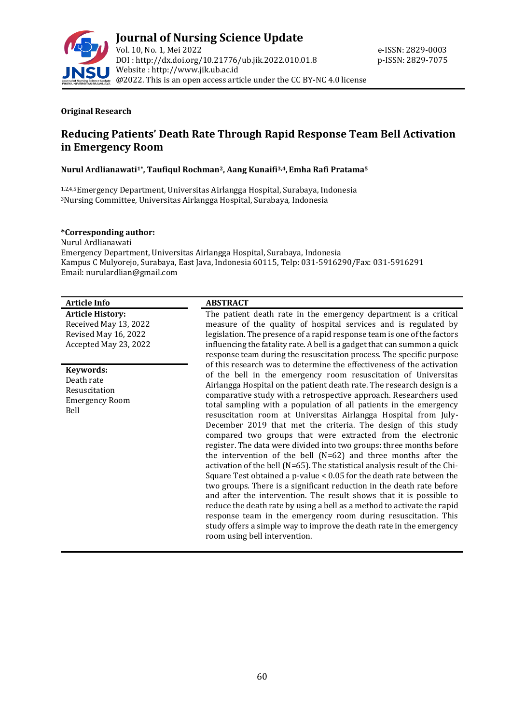

#### **Original Research**

# **Reducing Patients' Death Rate Through Rapid Response Team Bell Activation in Emergency Room**

#### **Nurul Ardlianawati1\*, Taufiqul Rochman2, Aang Kunaifi3,4,Emha Rafi Pratama<sup>5</sup>**

1,2,4,5Emergency Department, Universitas Airlangga Hospital, Surabaya, Indonesia <sup>3</sup>Nursing Committee, Universitas Airlangga Hospital, Surabaya, Indonesia

#### **\*Corresponding author:**

Nurul Ardlianawati Emergency Department, Universitas Airlangga Hospital, Surabaya, Indonesia Kampus C Mulyorejo, Surabaya, East Java, Indonesia 60115, Telp: 031-5916290/Fax: 031-5916291 Email: nurulardlian@gmail.com

### **Article Info ABSTRACT**

**Article History:** Received May 13, 2022 Revised May 16, 2022 Accepted May 23, 2022

**Keywords:** Death rate Resuscitation Emergency Room Bell

The patient death rate in the emergency department is a critical measure of the quality of hospital services and is regulated by legislation. The presence of a rapid response team is one of the factors influencing the fatality rate. A bell is a gadget that can summon a quick response team during the resuscitation process. The specific purpose of this research was to determine the effectiveness of the activation of the bell in the emergency room resuscitation of Universitas Airlangga Hospital on the patient death rate. The research design is a comparative study with a retrospective approach. Researchers used total sampling with a population of all patients in the emergency resuscitation room at Universitas Airlangga Hospital from July-December 2019 that met the criteria. The design of this study compared two groups that were extracted from the electronic register. The data were divided into two groups: three months before the intervention of the bell (N=62) and three months after the activation of the bell (N=65). The statistical analysis result of the Chi-Square Test obtained a p-value < 0.05 for the death rate between the two groups. There is a significant reduction in the death rate before and after the intervention. The result shows that it is possible to reduce the death rate by using a bell as a method to activate the rapid response team in the emergency room during resuscitation. This study offers a simple way to improve the death rate in the emergency room using bell intervention.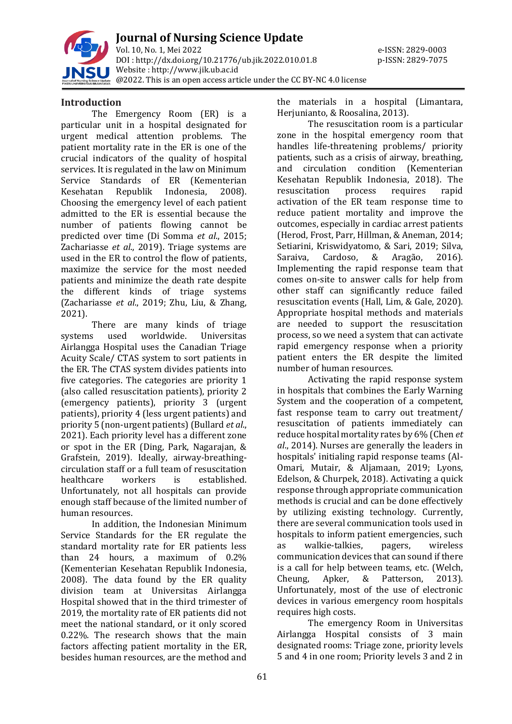

**Journal of Nursing Science Update** Vol. 10, No. 1, Mei 2022 e-ISSN: 2829-0003 DOI : [http://dx.doi.org/10.21776/ub.jik.2022.010.01.8](http://dx.doi.org/10.21776/ub.jik.2022.010.01) p-ISSN: 2829-7075 Website : http:/[/www.jik.ub.ac.id](http://www.jik.ub.ac.id/) @2022. This is an open access article under the CC BY-NC 4.0 license

## **Introduction**

The Emergency Room (ER) is a particular unit in a hospital designated for urgent medical attention problems. The patient mortality rate in the ER is one of the crucial indicators of the quality of hospital services. It is regulated in the law on Minimum Service Standards of ER (Kementerian Kesehatan Republik Indonesia, 2008). Choosing the emergency level of each patient admitted to the ER is essential because the number of patients flowing cannot be predicted over time (Di Somma *et al*., 2015; Zachariasse *et al*., 2019). Triage systems are used in the ER to control the flow of patients, maximize the service for the most needed patients and minimize the death rate despite the different kinds of triage systems (Zachariasse *et al*., 2019; Zhu, Liu, & Zhang, 2021).

There are many kinds of triage systems used worldwide. Universitas Airlangga Hospital uses the Canadian Triage Acuity Scale/ CTAS system to sort patients in the ER. The CTAS system divides patients into five categories. The categories are priority 1 (also called resuscitation patients), priority 2 (emergency patients), priority 3 (urgent patients), priority 4 (less urgent patients) and priority 5 (non-urgent patients) (Bullard *et al*., 2021). Each priority level has a different zone or spot in the ER (Ding, Park, Nagarajan, & Grafstein, 2019). Ideally, airway-breathingcirculation staff or a full team of resuscitation healthcare workers is established. Unfortunately, not all hospitals can provide enough staff because of the limited number of human resources.

In addition, the Indonesian Minimum Service Standards for the ER regulate the standard mortality rate for ER patients less than 24 hours, a maximum of 0.2% (Kementerian Kesehatan Republik Indonesia, 2008). The data found by the ER quality division team at Universitas Airlangga Hospital showed that in the third trimester of 2019, the mortality rate of ER patients did not meet the national standard, or it only scored 0.22%. The research shows that the main factors affecting patient mortality in the ER, besides human resources, are the method and

the materials in a hospital (Limantara, Herjunianto, & Roosalina, 2013).

The resuscitation room is a particular zone in the hospital emergency room that handles life-threatening problems/ priority patients, such as a crisis of airway, breathing, and circulation condition (Kementerian Kesehatan Republik Indonesia, 2018). The resuscitation process requires rapid activation of the ER team response time to reduce patient mortality and improve the outcomes, especially in cardiac arrest patients (Herod, Frost, Parr, Hillman, & Aneman, 2014; Setiarini, Kriswidyatomo, & Sari, 2019; Silva, Saraiva, Cardoso, & Aragão, 2016). Implementing the rapid response team that comes on-site to answer calls for help from other staff can significantly reduce failed resuscitation events (Hall, Lim, & Gale, 2020). Appropriate hospital methods and materials are needed to support the resuscitation process, so we need a system that can activate rapid emergency response when a priority patient enters the ER despite the limited number of human resources.

Activating the rapid response system in hospitals that combines the Early Warning System and the cooperation of a competent, fast response team to carry out treatment/ resuscitation of patients immediately can reduce hospital mortality rates by 6% (Chen *et al*., 2014). Nurses are generally the leaders in hospitals' initialing rapid response teams (Al-Omari, Mutair, & Aljamaan, 2019; Lyons, Edelson, & Churpek, 2018). Activating a quick response through appropriate communication methods is crucial and can be done effectively by utilizing existing technology. Currently, there are several communication tools used in hospitals to inform patient emergencies, such as walkie-talkies, pagers, wireless communication devices that can sound if there is a call for help between teams, etc. (Welch, Cheung, Apker, & Patterson, 2013). Unfortunately, most of the use of electronic devices in various emergency room hospitals requires high costs.

The emergency Room in Universitas Airlangga Hospital consists of 3 main designated rooms: Triage zone, priority levels 5 and 4 in one room; Priority levels 3 and 2 in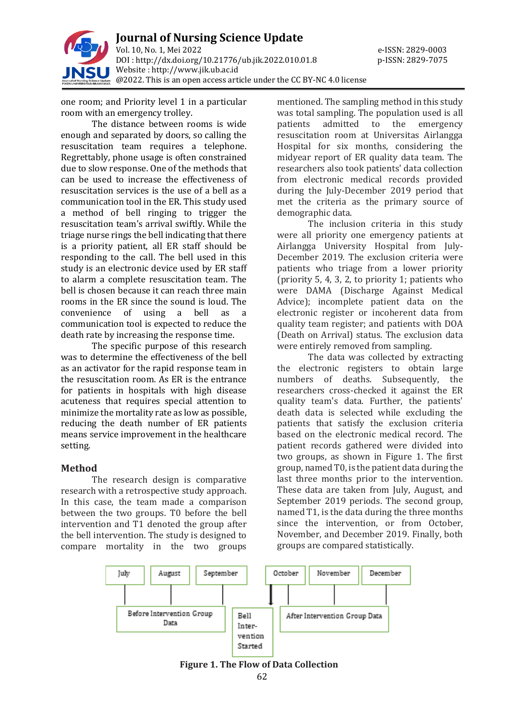

one room; and Priority level 1 in a particular room with an emergency trolley.

The distance between rooms is wide enough and separated by doors, so calling the resuscitation team requires a telephone. Regrettably, phone usage is often constrained due to slow response. One of the methods that can be used to increase the effectiveness of resuscitation services is the use of a bell as a communication tool in the ER. This study used a method of bell ringing to trigger the resuscitation team's arrival swiftly. While the triage nurse rings the bell indicating that there is a priority patient, all ER staff should be responding to the call. The bell used in this study is an electronic device used by ER staff to alarm a complete resuscitation team. The bell is chosen because it can reach three main rooms in the ER since the sound is loud. The convenience of using a bell as a communication tool is expected to reduce the death rate by increasing the response time.

The specific purpose of this research was to determine the effectiveness of the bell as an activator for the rapid response team in the resuscitation room. As ER is the entrance for patients in hospitals with high disease acuteness that requires special attention to minimize the mortality rate as low as possible, reducing the death number of ER patients means service improvement in the healthcare setting.

## **Method**

The research design is comparative research with a retrospective study approach. In this case, the team made a comparison between the two groups. T0 before the bell intervention and T1 denoted the group after the bell intervention. The study is designed to compare mortality in the two groups mentioned. The sampling method in this study was total sampling. The population used is all patients admitted to the emergency resuscitation room at Universitas Airlangga Hospital for six months, considering the midyear report of ER quality data team. The researchers also took patients' data collection from electronic medical records provided during the July-December 2019 period that met the criteria as the primary source of demographic data.

The inclusion criteria in this study were all priority one emergency patients at Airlangga University Hospital from July-December 2019. The exclusion criteria were patients who triage from a lower priority (priority 5, 4, 3, 2, to priority 1; patients who were DAMA (Discharge Against Medical Advice); incomplete patient data on the electronic register or incoherent data from quality team register; and patients with DOA (Death on Arrival) status. The exclusion data were entirely removed from sampling.

The data was collected by extracting the electronic registers to obtain large numbers of deaths. Subsequently, the researchers cross-checked it against the ER quality team's data. Further, the patients' death data is selected while excluding the patients that satisfy the exclusion criteria based on the electronic medical record. The patient records gathered were divided into two groups, as shown in Figure 1. The first group, named T0, is the patient data during the last three months prior to the intervention. These data are taken from July, August, and September 2019 periods. The second group, named T1, is the data during the three months since the intervention, or from October, November, and December 2019. Finally, both groups are compared statistically.



**Figure 1. The Flow of Data Collection**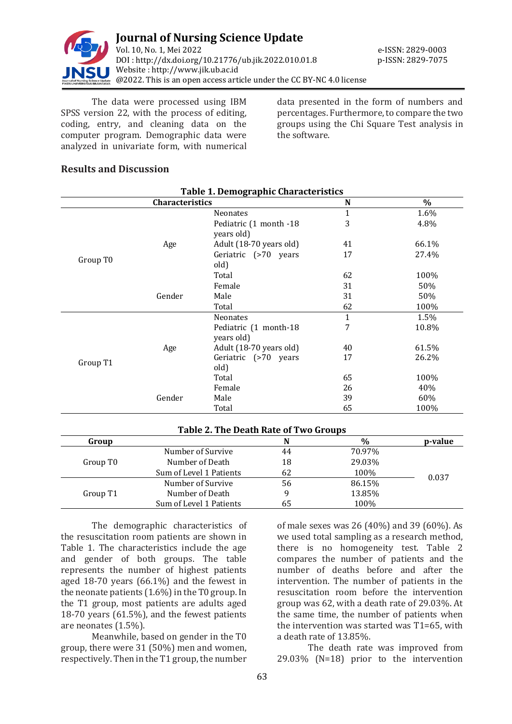

The data were processed using IBM SPSS version 22, with the process of editing, coding, entry, and cleaning data on the computer program. Demographic data were analyzed in univariate form, with numerical data presented in the form of numbers and percentages. Furthermore, to compare the two groups using the Chi Square Test analysis in the software.

## **Results and Discussion**

| <b>Table 1. Demographic Characteristics</b> |                 |                                      |      |       |  |  |  |
|---------------------------------------------|-----------------|--------------------------------------|------|-------|--|--|--|
|                                             | Characteristics | N                                    | $\%$ |       |  |  |  |
|                                             |                 | <b>Neonates</b>                      | 1    | 1.6%  |  |  |  |
|                                             | Age             | Pediatric (1 month -18<br>years old) | 3    | 4.8%  |  |  |  |
|                                             |                 | Adult (18-70 years old)              | 41   | 66.1% |  |  |  |
| Group T <sub>0</sub>                        |                 | Geriatric (>70 years<br>old)         | 17   | 27.4% |  |  |  |
|                                             |                 | Total                                | 62   | 100%  |  |  |  |
|                                             | Gender          | Female                               | 31   | 50%   |  |  |  |
|                                             |                 | Male                                 | 31   | 50%   |  |  |  |
|                                             |                 | Total                                | 62   | 100%  |  |  |  |
|                                             | Age             | <b>Neonates</b>                      | 1    | 1.5%  |  |  |  |
|                                             |                 | Pediatric (1 month-18<br>years old)  | 7    | 10.8% |  |  |  |
|                                             |                 | Adult (18-70 years old)              | 40   | 61.5% |  |  |  |
| Group T1                                    |                 | Geriatric (>70 years<br>old)         | 17   | 26.2% |  |  |  |
|                                             |                 | Total                                | 65   | 100%  |  |  |  |
|                                             | Gender          | Female                               | 26   | 40%   |  |  |  |
|                                             |                 | Male                                 | 39   | 60%   |  |  |  |
|                                             |                 | Total                                | 65   | 100%  |  |  |  |

## **Table 2. The Death Rate of Two Groups**

| Group                |                         | N  | $\%$   | p-value |
|----------------------|-------------------------|----|--------|---------|
| Group T <sub>0</sub> | Number of Survive       | 44 | 70.97% |         |
|                      | Number of Death         | 18 | 29.03% |         |
|                      | Sum of Level 1 Patients | 62 | 100%   | 0.037   |
| Group T1             | Number of Survive       | 56 | 86.15% |         |
|                      | Number of Death         |    | 13.85% |         |
|                      | Sum of Level 1 Patients | 65 | 100%   |         |

The demographic characteristics of the resuscitation room patients are shown in Table 1. The characteristics include the age and gender of both groups. The table represents the number of highest patients aged 18-70 years (66.1%) and the fewest in the neonate patients (1.6%) in the T0 group. In the T1 group, most patients are adults aged 18-70 years (61.5%), and the fewest patients are neonates (1.5%).

Meanwhile, based on gender in the T0 group, there were 31 (50%) men and women, respectively. Then in the T1 group, the number

of male sexes was 26 (40%) and 39 (60%). As we used total sampling as a research method, there is no homogeneity test. Table 2 compares the number of patients and the number of deaths before and after the intervention. The number of patients in the resuscitation room before the intervention group was 62, with a death rate of 29.03%. At the same time, the number of patients when the intervention was started was T1=65, with a death rate of 13.85%.

The death rate was improved from 29.03% (N=18) prior to the intervention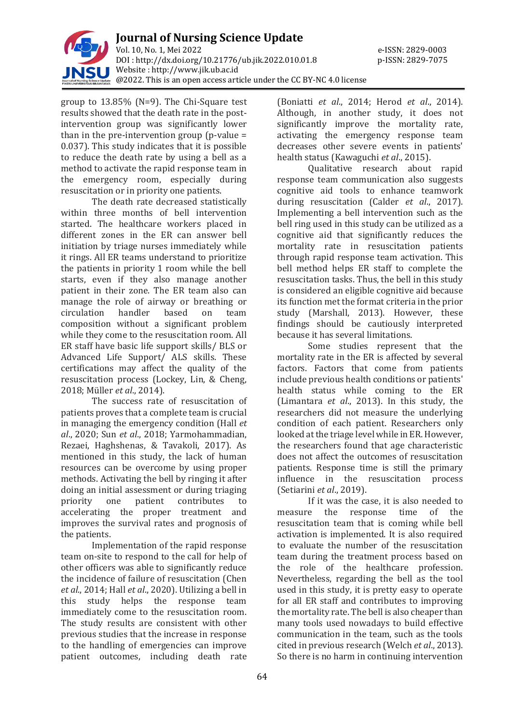

group to 13.85% (N=9). The Chi-Square test results showed that the death rate in the postintervention group was significantly lower than in the pre-intervention group (p-value  $=$ 0.037). This study indicates that it is possible to reduce the death rate by using a bell as a method to activate the rapid response team in the emergency room, especially during resuscitation or in priority one patients.

The death rate decreased statistically within three months of bell intervention started. The healthcare workers placed in different zones in the ER can answer bell initiation by triage nurses immediately while it rings. All ER teams understand to prioritize the patients in priority 1 room while the bell starts, even if they also manage another patient in their zone. The ER team also can manage the role of airway or breathing or circulation handler based on team composition without a significant problem while they come to the resuscitation room. All ER staff have basic life support skills/ BLS or Advanced Life Support/ ALS skills. These certifications may affect the quality of the resuscitation process (Lockey, Lin, & Cheng, 2018; Müller *et al*., 2014).

The success rate of resuscitation of patients proves that a complete team is crucial in managing the emergency condition (Hall *et al*., 2020; Sun *et al*., 2018; Yarmohammadian, Rezaei, Haghshenas, & Tavakoli, 2017). As mentioned in this study, the lack of human resources can be overcome by using proper methods. Activating the bell by ringing it after doing an initial assessment or during triaging priority one patient contributes to accelerating the proper treatment and improves the survival rates and prognosis of the patients.

Implementation of the rapid response team on-site to respond to the call for help of other officers was able to significantly reduce the incidence of failure of resuscitation (Chen *et al*., 2014; Hall *et al*., 2020). Utilizing a bell in this study helps the response team immediately come to the resuscitation room. The study results are consistent with other previous studies that the increase in response to the handling of emergencies can improve patient outcomes, including death rate

(Boniatti *et al*., 2014; Herod *et al*., 2014). Although, in another study, it does not significantly improve the mortality rate, activating the emergency response team decreases other severe events in patients' health status (Kawaguchi *et al*., 2015).

Qualitative research about rapid response team communication also suggests cognitive aid tools to enhance teamwork during resuscitation (Calder *et al*., 2017). Implementing a bell intervention such as the bell ring used in this study can be utilized as a cognitive aid that significantly reduces the mortality rate in resuscitation patients through rapid response team activation. This bell method helps ER staff to complete the resuscitation tasks. Thus, the bell in this study is considered an eligible cognitive aid because its function met the format criteria in the prior study (Marshall, 2013). However, these findings should be cautiously interpreted because it has several limitations.

Some studies represent that the mortality rate in the ER is affected by several factors. Factors that come from patients include previous health conditions or patients' health status while coming to the ER (Limantara *et al*., 2013). In this study, the researchers did not measure the underlying condition of each patient. Researchers only looked at the triage level while in ER. However, the researchers found that age characteristic does not affect the outcomes of resuscitation patients. Response time is still the primary influence in the resuscitation process (Setiarini *et al*., 2019).

If it was the case, it is also needed to measure the response time of the resuscitation team that is coming while bell activation is implemented. It is also required to evaluate the number of the resuscitation team during the treatment process based on the role of the healthcare profession. Nevertheless, regarding the bell as the tool used in this study, it is pretty easy to operate for all ER staff and contributes to improving the mortality rate. The bell is also cheaper than many tools used nowadays to build effective communication in the team, such as the tools cited in previous research (Welch *et al*., 2013). So there is no harm in continuing intervention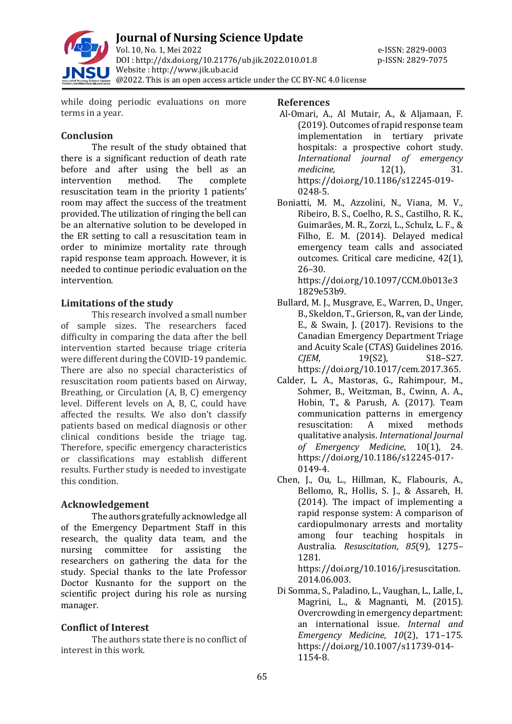

while doing periodic evaluations on more terms in a year.

# **Conclusion**

The result of the study obtained that there is a significant reduction of death rate before and after using the bell as an intervention method. The complete resuscitation team in the priority 1 patients' room may affect the success of the treatment provided. The utilization of ringing the bell can be an alternative solution to be developed in the ER setting to call a resuscitation team in order to minimize mortality rate through rapid response team approach. However, it is needed to continue periodic evaluation on the intervention.

# **Limitations of the study**

This research involved a small number of sample sizes. The researchers faced difficulty in comparing the data after the bell intervention started because triage criteria were different during the COVID-19 pandemic. There are also no special characteristics of resuscitation room patients based on Airway, Breathing, or Circulation (A, B, C) emergency level. Different levels on A, B, C, could have affected the results. We also don't classify patients based on medical diagnosis or other clinical conditions beside the triage tag. Therefore, specific emergency characteristics or classifications may establish different results. Further study is needed to investigate this condition.

# **Acknowledgement**

The authors gratefully acknowledge all of the Emergency Department Staff in this research, the quality data team, and the nursing committee for assisting the researchers on gathering the data for the study. Special thanks to the late Professor Doctor Kusnanto for the support on the scientific project during his role as nursing manager.

# **Conflict of Interest**

The authors state there is no conflict of interest in this work.

## **References**

- Al-Omari, A., Al Mutair, A., & Aljamaan, F. (2019). Outcomes of rapid response team implementation in tertiary private hospitals: a prospective cohort study. *International journal of emergency medicine*, 12(1), 31. https://doi.org/10.1186/s12245-019- 0248-5.
- Boniatti, M. M., Azzolini, N., Viana, M. V., Ribeiro, B. S., Coelho, R. S., Castilho, R. K., Guimarães, M. R., Zorzi, L., Schulz, L. F., & Filho, E. M. (2014). Delayed medical emergency team calls and associated outcomes. Critical care medicine, 42(1), 26–30.

https://doi.org/10.1097/CCM.0b013e3 1829e53b9.

- Bullard, M. J., Musgrave, E., Warren, D., Unger, B., Skeldon, T., Grierson, R., van der Linde, E., & Swain, J. (2017). Revisions to the Canadian Emergency Department Triage and Acuity Scale (CTAS) Guidelines 2016. *CJEM*, 19(S2), S18–S27. https://doi.org/10.1017/cem.2017.365.
- Calder, L. A., Mastoras, G., Rahimpour, M., Sohmer, B., Weitzman, B., Cwinn, A. A., Hobin, T., & Parush, A. (2017). Team communication patterns in emergency resuscitation: A mixed methods qualitative analysis. *International Journal of Emergency Medicine*, 10(1), 24. https://doi.org/10.1186/s12245-017- 0149-4.
- Chen, J., Ou, L., Hillman, K., Flabouris, A., Bellomo, R., Hollis, S. J., & Assareh, H. (2014). The impact of implementing a rapid response system: A comparison of cardiopulmonary arrests and mortality among four teaching hospitals in Australia. *Resuscitation*, *85*(9), 1275– 1281. https://doi.org/10.1016/j.resuscitation.

2014.06.003.

Di Somma, S., Paladino, L., Vaughan, L., Lalle, I., Magrini, L., & Magnanti, M. (2015). Overcrowding in emergency department: an international issue. *Internal and Emergency Medicine*, *10*(2), 171–175. https://doi.org/10.1007/s11739-014- 1154-8.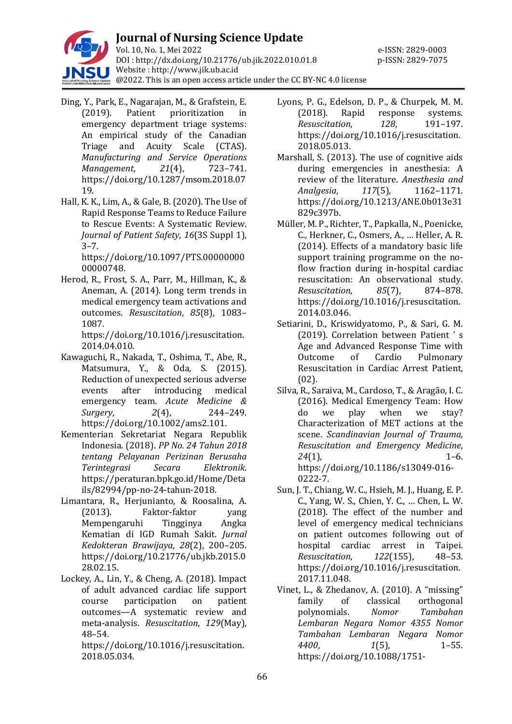

- Ding, Y., Park, E., Nagarajan, M., & Grafstein, E. (2019). Patient prioritization in emergency department triage systems: An empirical study of the Canadian Triage and Acuity Scale (CTAS). *Manufacturing and Service Operations Management*, *21*(4), 723–741. https://doi.org/10.1287/msom.2018.07 19.
- Hall, K. K., Lim, A., & Gale, B. (2020). The Use of Rapid Response Teams to Reduce Failure to Rescue Events: A Systematic Review. *Journal of Patient Safety*, *16*(3S Suppl 1),  $3 - 7$ .

https://doi.org/10.1097/PTS.00000000 00000748.

Herod, R., Frost, S. A., Parr, M., Hillman, K., & Aneman, A. (2014). Long term trends in medical emergency team activations and outcomes. *Resuscitation*, *85*(8), 1083– 1087.

https://doi.org/10.1016/j.resuscitation. 2014.04.010.

- Kawaguchi, R., Nakada, T., Oshima, T., Abe, R., Matsumura, Y., & Oda, S. (2015). Reduction of unexpected serious adverse events after introducing medical emergency team. *Acute Medicine & Surgery*, *2*(4), 244–249. https://doi.org/10.1002/ams2.101.
- Kementerian Sekretariat Negara Republik Indonesia. (2018). *PP No. 24 Tahun 2018 tentang Pelayanan Perizinan Berusaha Terintegrasi Secara Elektronik*. https://peraturan.bpk.go.id/Home/Deta ils/82994/pp-no-24-tahun-2018.
- Limantara, R., Herjunianto, & Roosalina, A. (2013). Faktor-faktor yang Mempengaruhi Tingginya Angka Kematian di IGD Rumah Sakit. *Jurnal Kedokteran Brawijaya*, *28*(2), 200–205. https://doi.org/10.21776/ub.jkb.2015.0 28.02.15.
- Lockey, A., Lin, Y., & Cheng, A. (2018). Impact of adult advanced cardiac life support course participation on patient outcomes—A systematic review and meta-analysis. *Resuscitation*, *129*(May), 48–54.

https://doi.org/10.1016/j.resuscitation. 2018.05.034.

- Lyons, P. G., Edelson, D. P., & Churpek, M. M. (2018). Rapid response systems. *Resuscitation*, *128*, 191–197. https://doi.org/10.1016/j.resuscitation. 2018.05.013.
- Marshall, S. (2013). The use of cognitive aids during emergencies in anesthesia: A review of the literature. *Anesthesia and Analgesia*, *117*(5), 1162–1171. https://doi.org/10.1213/ANE.0b013e31 829c397b.
- Müller, M. P., Richter, T., Papkalla, N., Poenicke, C., Herkner, C., Osmers, A., … Heller, A. R. (2014). Effects of a mandatory basic life support training programme on the noflow fraction during in-hospital cardiac resuscitation: An observational study. *Resuscitation*, *85*(7), 874–878. https://doi.org/10.1016/j.resuscitation. 2014.03.046.
- Setiarini, D., Kriswidyatomo, P., & Sari, G. M. (2019). Correlation between Patient ' s Age and Advanced Response Time with Outcome of Cardio Pulmonary Resuscitation in Cardiac Arrest Patient, (02).
- Silva, R., Saraiva, M., Cardoso, T., & Aragão, I. C. (2016). Medical Emergency Team: How do we play when we stay? Characterization of MET actions at the scene. *Scandinavian Journal of Trauma, Resuscitation and Emergency Medicine*, *24*(1), 1–6. https://doi.org/10.1186/s13049-016- 0222-7.
- Sun, J. T., Chiang, W. C., Hsieh, M. J., Huang, E. P. C., Yang, W. S., Chien, Y. C., … Chen, L. W. (2018). The effect of the number and level of emergency medical technicians on patient outcomes following out of hospital cardiac arrest in Taipei. *Resuscitation*, *122*(155), 48–53. https://doi.org/10.1016/j.resuscitation. 2017.11.048.
- Vinet, L., & Zhedanov, A. (2010). A "missing" family of classical orthogonal polynomials. *Nomor Tambahan Lembaran Negara Nomor 4355 Nomor Tambahan Lembaran Negara Nomor 4400*, *1*(5), 1–55. https://doi.org/10.1088/1751-